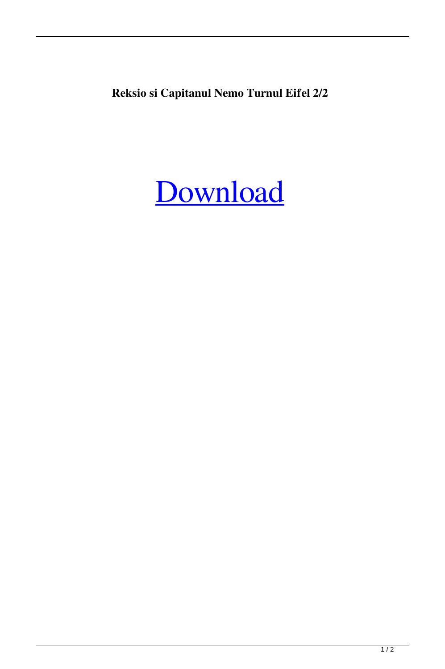**Reksio si Capitanul Nemo Turnul Eifel 2/2**